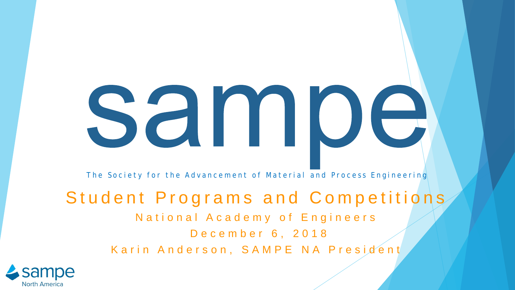# samoe

The Society for the Advancement of Material and Process Engineering

### Student Programs and Competitions

National Academy of Engineers

December 6, 2018

Karin Anderson, SAMPE NA President

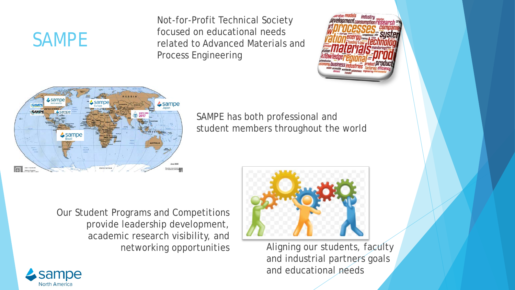## SAMPE

Not-for-Profit Technical Society focused on educational needs related to Advanced Materials and Process Engineering





SAMPE has both professional and student members throughout the world

Our Student Programs and Competitions provide leadership development, academic research visibility, and networking opportunities



Aligning our students, faculty and industrial partners goals and educational needs

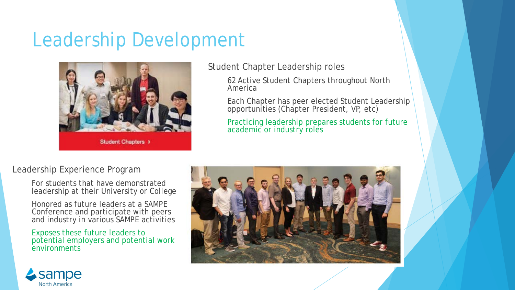## Leadership Development



Student Chapter Leadership roles

62 Active Student Chapters throughout North America

Each Chapter has peer elected Student Leadership opportunities (Chapter President, VP, etc)

Practicing leadership prepares students for future academic or industry roles

#### Leadership Experience Program

For students that have demonstrated leadership at their University or College

Honored as future leaders at a SAMPE Conference and participate with peers and industry in various SAMPE activities

Exposes these future leaders to potential employers and potential work environments



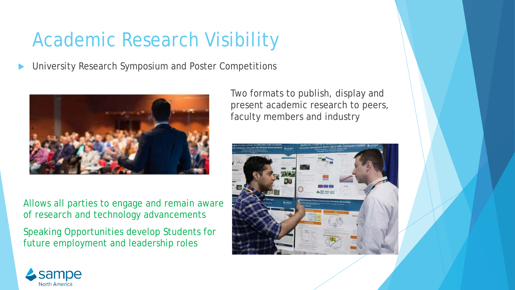## Academic Research Visibility

University Research Symposium and Poster Competitions



Allows all parties to engage and remain aware of research and technology advancements

Speaking Opportunities develop Students for future employment and leadership roles

Two formats to publish, display and present academic research to peers, faculty members and industry



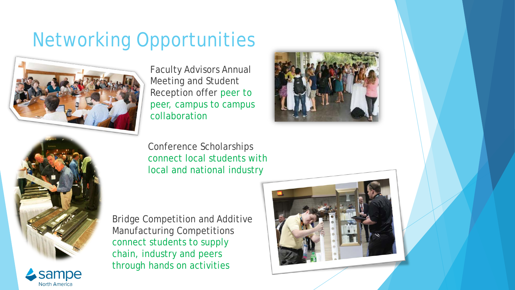## Networking Opportunities



Faculty Advisors Annual Meeting and Student Reception offer peer to peer, campus to campus collaboration



Conference Scholarships connect local students with local and national industry

Bridge Competition and Additive Manufacturing Competitions connect students to supply chain, industry and peers through hands on activities





**North America**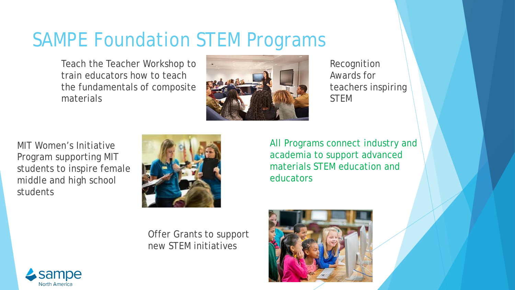## SAMPE Foundation STEM Programs

Teach the Teacher Workshop to train educators how to teach the fundamentals of composite materials



Recognition Awards for teachers inspiring STEM

MIT Women's Initiative Program supporting MIT students to inspire female middle and high school students



Offer Grants to support new STEM initiatives

All Programs connect industry and academia to support advanced materials STEM education and educators